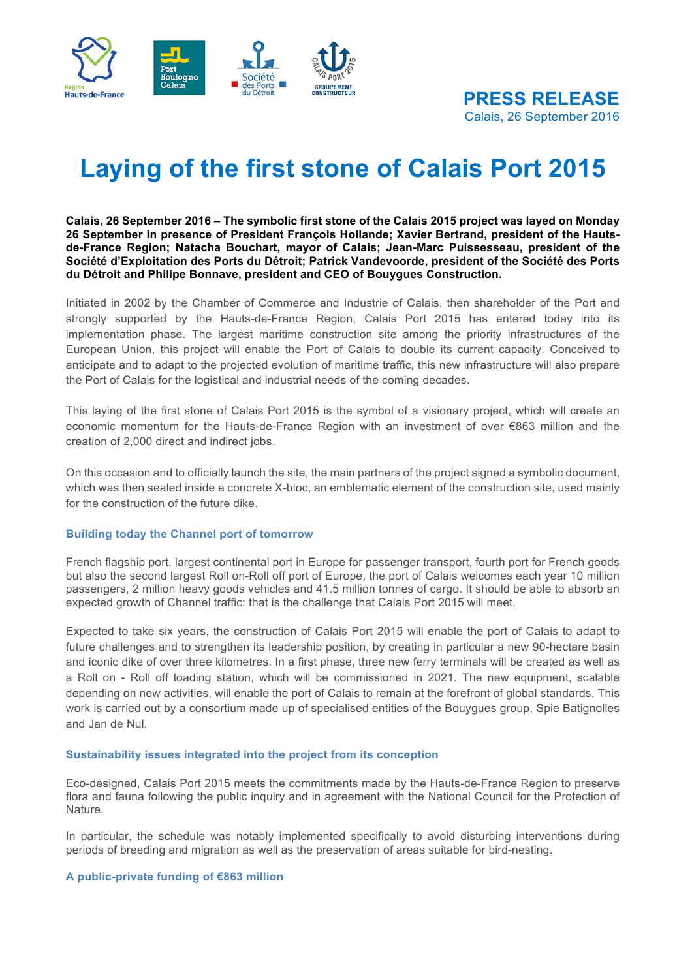

# **Laying of the first stone of Calais Port 2015**

**Calais, 26 September 2016 – The symbolic first stone of the Calais 2015 project was layed on Monday 26 September in presence of President François Hollande; Xavier Bertrand, president of the Hautsde-France Region; Natacha Bouchart, mayor of Calais; Jean-Marc Puissesseau, president of the Société d'Exploitation des Ports du Détroit; Patrick Vandevoorde, president of the Société des Ports du Détroit and Philipe Bonnave, president and CEO of Bouygues Construction.**

Initiated in 2002 by the Chamber of Commerce and Industrie of Calais, then shareholder of the Port and strongly supported by the Hauts-de-France Region, Calais Port 2015 has entered today into its implementation phase. The largest maritime construction site among the priority infrastructures of the European Union, this project will enable the Port of Calais to double its current capacity. Conceived to anticipate and to adapt to the projected evolution of maritime traffic, this new infrastructure will also prepare the Port of Calais for the logistical and industrial needs of the coming decades.

This laying of the first stone of Calais Port 2015 is the symbol of a visionary project, which will create an economic momentum for the Hauts-de-France Region with an investment of over €863 million and the creation of 2,000 direct and indirect jobs.

On this occasion and to officially launch the site, the main partners of the project signed a symbolic document, which was then sealed inside a concrete X-bloc, an emblematic element of the construction site, used mainly for the construction of the future dike.

#### **Building today the Channel port of tomorrow**

French flagship port, largest continental port in Europe for passenger transport, fourth port for French goods but also the second largest Roll on-Roll off port of Europe, the port of Calais welcomes each year 10 million passengers, 2 million heavy goods vehicles and 41.5 million tonnes of cargo. It should be able to absorb an expected growth of Channel traffic: that is the challenge that Calais Port 2015 will meet.

Expected to take six years, the construction of Calais Port 2015 will enable the port of Calais to adapt to future challenges and to strengthen its leadership position, by creating in particular a new 90-hectare basin and iconic dike of over three kilometres. In a first phase, three new ferry terminals will be created as well as a Roll on - Roll off loading station, which will be commissioned in 2021. The new equipment, scalable depending on new activities, will enable the port of Calais to remain at the forefront of global standards. This work is carried out by a consortium made up of specialised entities of the Bouygues group, Spie Batignolles and Jan de Nul.

#### **Sustainability issues integrated into the project from its conception**

Eco-designed, Calais Port 2015 meets the commitments made by the Hauts-de-France Region to preserve flora and fauna following the public inquiry and in agreement with the National Council for the Protection of Nature.

In particular, the schedule was notably implemented specifically to avoid disturbing interventions during periods of breeding and migration as well as the preservation of areas suitable for bird-nesting.

#### **A public-private funding of €863 million**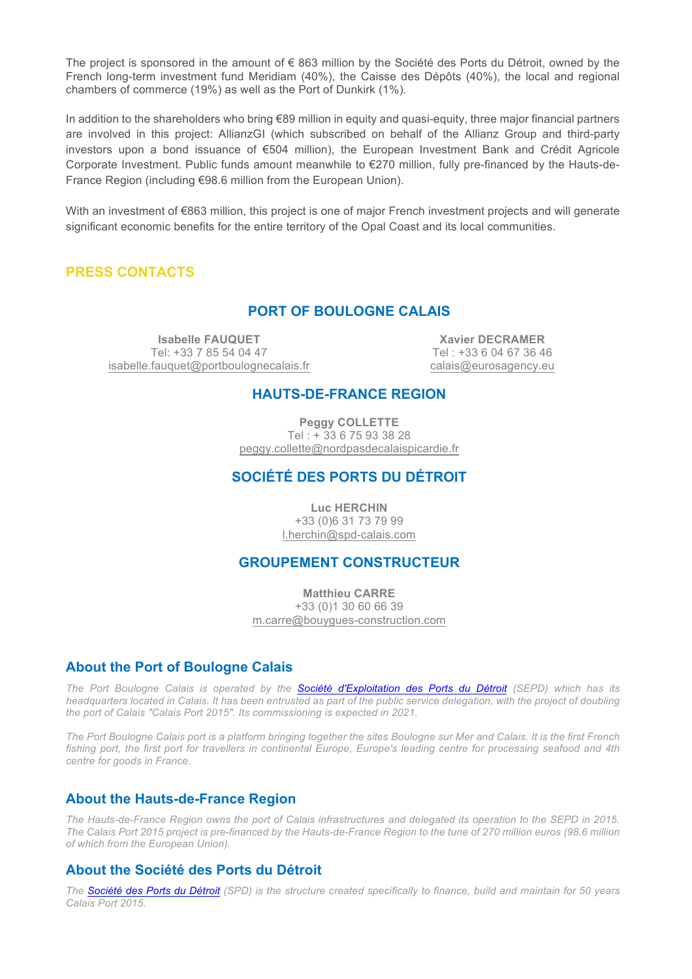The project is sponsored in the amount of € 863 million by the Société des Ports du Détroit, owned by the French long-term investment fund Meridiam (40%), the Caisse des Dépôts (40%), the local and regional chambers of commerce (19%) as well as the Port of Dunkirk (1%).

In addition to the shareholders who bring €89 million in equity and quasi-equity, three major financial partners are involved in this project: AllianzGI (which subscribed on behalf of the Allianz Group and third-party investors upon a bond issuance of €504 million), the European Investment Bank and Crédit Agricole Corporate Investment. Public funds amount meanwhile to €270 million, fully pre-financed by the Hauts-de-France Region (including €98.6 million from the European Union).

With an investment of €863 million, this project is one of major French investment projects and will generate significant economic benefits for the entire territory of the Opal Coast and its local communities.

## **PRESS CONTACTS**

# **PORT OF BOULOGNE CALAIS**

**Isabelle FAUQUET** Tel: +33 7 85 54 04 47 isabelle.fauquet@portboulognecalais.fr

**Xavier DECRAMER** Tel : +33 6 04 67 36 46 calais@eurosagency.eu

### **HAUTS-DE-FRANCE REGION**

**Peggy COLLETTE** Tel : + 33 6 75 93 38 28 peggy.collette@nordpasdecalaispicardie.fr

# **SOCIÉTÉ DES PORTS DU DÉTROIT**

**Luc HERCHIN** +33 (0)6 31 73 79 99 l.herchin@spd-calais.com

## **GROUPEMENT CONSTRUCTEUR**

**Matthieu CARRE** +33 (0)1 30 60 66 39 m.carre@bouygues-construction.com

#### **About the Port of Boulogne Calais**

*The Port Boulogne Calais is operated by the Société d'Exploitation des Ports du Détroit (SEPD) which has its headquarters located in Calais. It has been entrusted as part of the public service delegation, with the project of doubling the port of Calais "Calais Port 2015". Its commissioning is expected in 2021.* 

*The Port Boulogne Calais port is a platform bringing together the sites Boulogne sur Mer and Calais. It is the first French fishing port, the first port for travellers in continental Europe, Europe's leading centre for processing seafood and 4th centre for goods in France.*

#### **About the Hauts-de-France Region**

*The Hauts-de-France Region owns the port of Calais infrastructures and delegated its operation to the SEPD in 2015. The Calais Port 2015 project is pre-financed by the Hauts-de-France Region to the tune of 270 million euros (98.6 million of which from the European Union).*

## **About the Société des Ports du Détroit**

*The Société des Ports du Détroit (SPD) is the structure created specifically to finance, build and maintain for 50 years Calais Port 2015.*